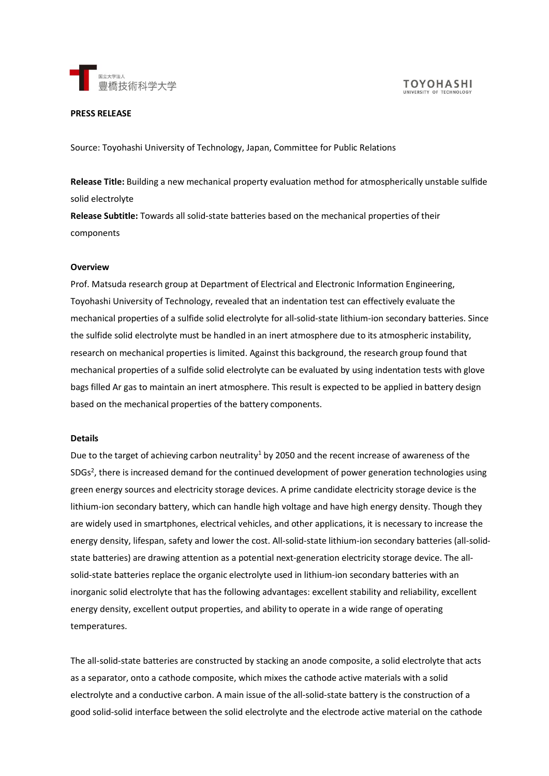

#### **PRESS RELEASE**

Source: Toyohashi University of Technology, Japan, Committee for Public Relations

**Release Title:** Building a new mechanical property evaluation method for atmospherically unstable sulfide solid electrolyte

**Release Subtitle:** Towards all solid-state batteries based on the mechanical properties of their components

## **Overview**

Prof. Matsuda research group at Department of Electrical and Electronic Information Engineering, Toyohashi University of Technology, revealed that an indentation test can effectively evaluate the mechanical properties of a sulfide solid electrolyte for all-solid-state lithium-ion secondary batteries. Since the sulfide solid electrolyte must be handled in an inert atmosphere due to its atmospheric instability, research on mechanical properties is limited. Against this background, the research group found that mechanical properties of a sulfide solid electrolyte can be evaluated by using indentation tests with glove bags filled Ar gas to maintain an inert atmosphere. This result is expected to be applied in battery design based on the mechanical properties of the battery components.

## **Details**

Due to the target of achieving carbon neutrality<sup>1</sup> by 2050 and the recent increase of awareness of the SDGs<sup>2</sup>, there is increased demand for the continued development of power generation technologies using green energy sources and electricity storage devices. A prime candidate electricity storage device is the lithium-ion secondary battery, which can handle high voltage and have high energy density. Though they are widely used in smartphones, electrical vehicles, and other applications, it is necessary to increase the energy density, lifespan, safety and lower the cost. All-solid-state lithium-ion secondary batteries (all-solidstate batteries) are drawing attention as a potential next-generation electricity storage device. The allsolid-state batteries replace the organic electrolyte used in lithium-ion secondary batteries with an inorganic solid electrolyte that has the following advantages: excellent stability and reliability, excellent energy density, excellent output properties, and ability to operate in a wide range of operating temperatures.

The all-solid-state batteries are constructed by stacking an anode composite, a solid electrolyte that acts as a separator, onto a cathode composite, which mixes the cathode active materials with a solid electrolyte and a conductive carbon. A main issue of the all-solid-state battery is the construction of a good solid-solid interface between the solid electrolyte and the electrode active material on the cathode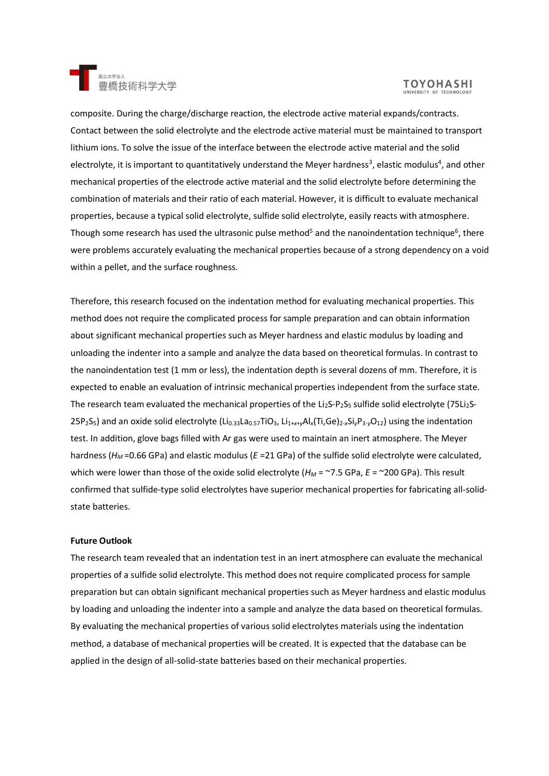

# **TOYOHASHI**

composite. During the charge/discharge reaction, the electrode active material expands/contracts. Contact between the solid electrolyte and the electrode active material must be maintained to transport lithium ions. To solve the issue of the interface between the electrode active material and the solid electrolyte, it is important to quantitatively understand the Meyer hardness<sup>3</sup>, elastic modulus<sup>4</sup>, and other mechanical properties of the electrode active material and the solid electrolyte before determining the combination of materials and their ratio of each material. However, it is difficult to evaluate mechanical properties, because a typical solid electrolyte, sulfide solid electrolyte, easily reacts with atmosphere. Though some research has used the ultrasonic pulse method<sup>5</sup> and the nanoindentation technique<sup>6</sup>, there were problems accurately evaluating the mechanical properties because of a strong dependency on a void within a pellet, and the surface roughness.

Therefore, this research focused on the indentation method for evaluating mechanical properties. This method does not require the complicated process for sample preparation and can obtain information about significant mechanical properties such as Meyer hardness and elastic modulus by loading and unloading the indenter into a sample and analyze the data based on theoretical formulas. In contrast to the nanoindentation test (1 mm or less), the indentation depth is several dozens of mm. Therefore, it is expected to enable an evaluation of intrinsic mechanical properties independent from the surface state. The research team evaluated the mechanical properties of the Li<sub>2</sub>S-P<sub>2</sub>S<sub>5</sub> sulfide solid electrolyte (75Li<sub>2</sub>S-25P2S5) and an oxide solid electrolyte (Li0.33La0.57TiO3, Li1+*x*+*y*Al*x*(Ti,Ge)2-*x*Si*y*P3-*y*O12) using the indentation test. In addition, glove bags filled with Ar gas were used to maintain an inert atmosphere. The Meyer hardness ( $H_M$ =0.66 GPa) and elastic modulus (*E* = 21 GPa) of the sulfide solid electrolyte were calculated, which were lower than those of the oxide solid electrolyte ( $H_M$  = ~7.5 GPa,  $E$  = ~200 GPa). This result confirmed that sulfide-type solid electrolytes have superior mechanical properties for fabricating all-solidstate batteries.

## **Future Outlook**

The research team revealed that an indentation test in an inert atmosphere can evaluate the mechanical properties of a sulfide solid electrolyte. This method does not require complicated process for sample preparation but can obtain significant mechanical properties such as Meyer hardness and elastic modulus by loading and unloading the indenter into a sample and analyze the data based on theoretical formulas. By evaluating the mechanical properties of various solid electrolytes materials using the indentation method, a database of mechanical properties will be created. It is expected that the database can be applied in the design of all-solid-state batteries based on their mechanical properties.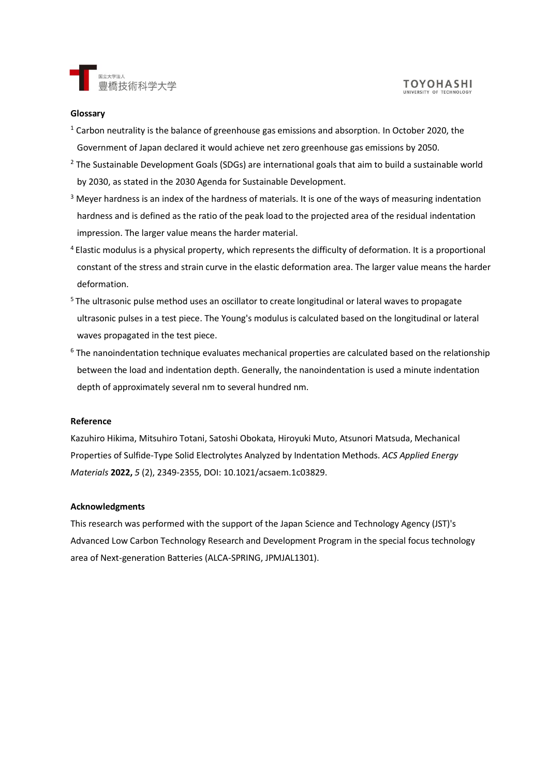

### **Glossary**

- $1$  Carbon neutrality is the balance of greenhouse gas emissions and absorption. In October 2020, the Government of Japan declared it would achieve net zero greenhouse gas emissions by 2050.
- <sup>2</sup> The Sustainable Development Goals (SDGs) are international goals that aim to build a sustainable world by 2030, as stated in the 2030 Agenda for Sustainable Development.
- $3$  Meyer hardness is an index of the hardness of materials. It is one of the ways of measuring indentation hardness and is defined as the ratio of the peak load to the projected area of the residual indentation impression. The larger value means the harder material.
- <sup>4</sup>Elastic modulus is a physical property, which represents the difficulty of deformation. It is a proportional constant of the stress and strain curve in the elastic deformation area. The larger value means the harder deformation.
- <sup>5</sup> The ultrasonic pulse method uses an oscillator to create longitudinal or lateral waves to propagate ultrasonic pulses in a test piece. The Young's modulus is calculated based on the longitudinal or lateral waves propagated in the test piece.
- <sup>6</sup> The nanoindentation technique evaluates mechanical properties are calculated based on the relationship between the load and indentation depth. Generally, the nanoindentation is used a minute indentation depth of approximately several nm to several hundred nm.

## **Reference**

Kazuhiro Hikima, Mitsuhiro Totani, Satoshi Obokata, Hiroyuki Muto, Atsunori Matsuda, Mechanical Properties of Sulfide-Type Solid Electrolytes Analyzed by Indentation Methods. *ACS Applied Energy Materials* **2022,** *5* (2), 2349-2355, DOI: 10.1021/acsaem.1c03829.

## **Acknowledgments**

This research was performed with the support of the Japan Science and Technology Agency (JST)'s Advanced Low Carbon Technology Research and Development Program in the special focus technology area of Next-generation Batteries (ALCA-SPRING, JPMJAL1301).